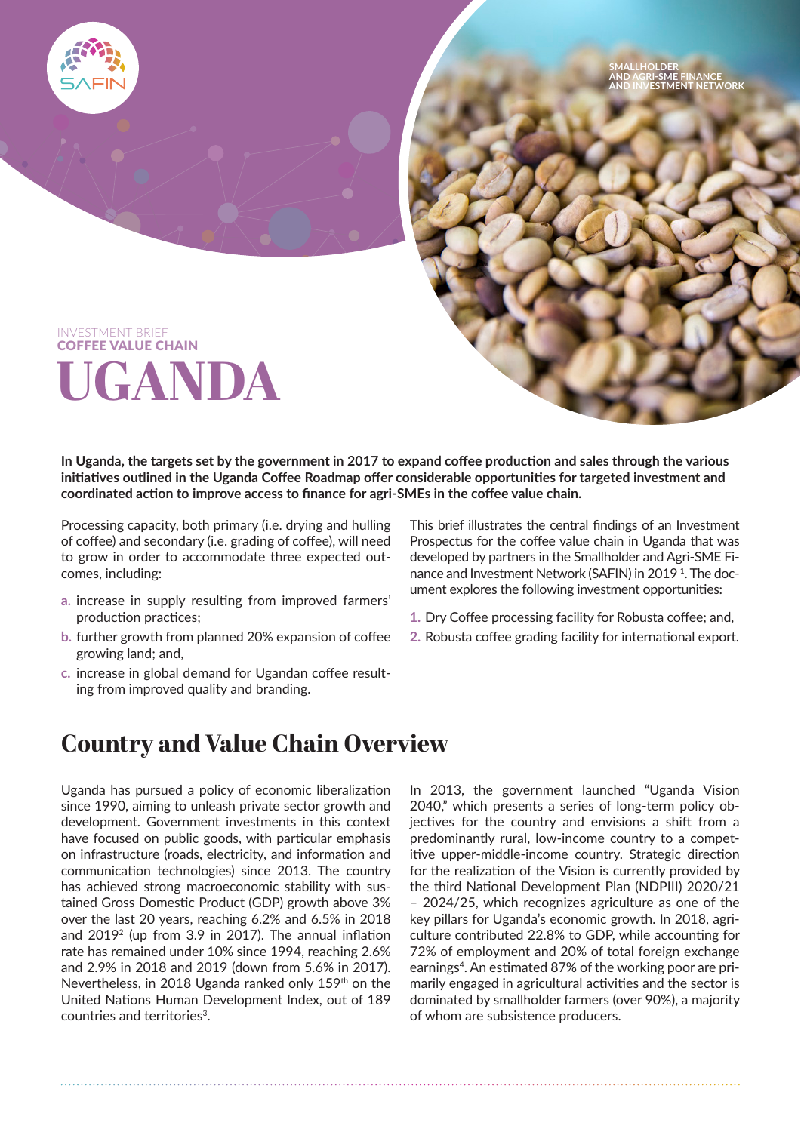

**In Uganda, the targets set by the government in 2017 to expand coffee production and sales through the various initiatives outlined in the Uganda Coffee Roadmap offer considerable opportunities for targeted investment and coordinated action to improve access to finance for agri-SMEs in the coffee value chain.**

Processing capacity, both primary (i.e. drying and hulling of coffee) and secondary (i.e. grading of coffee), will need to grow in order to accommodate three expected outcomes, including:

- **a.** increase in supply resulting from improved farmers' production practices;
- **b.** further growth from planned 20% expansion of coffee growing land; and,
- **c.** increase in global demand for Ugandan coffee resulting from improved quality and branding.

This brief illustrates the central findings of an Investment Prospectus for the coffee value chain in Uganda that was developed by partners in the Smallholder and Agri-SME Finance and Investment Network (SAFIN) in 2019<sup>1</sup>. The document explores the following investment opportunities:

- **1.** Dry Coffee processing facility for Robusta coffee; and,
- **2.** Robusta coffee grading facility for international export.

## **Country and Value Chain Overview**

Uganda has pursued a policy of economic liberalization since 1990, aiming to unleash private sector growth and development. Government investments in this context have focused on public goods, with particular emphasis on infrastructure (roads, electricity, and information and communication technologies) since 2013. The country has achieved strong macroeconomic stability with sustained Gross Domestic Product (GDP) growth above 3% over the last 20 years, reaching 6.2% and 6.5% in 2018 and 20192 (up from 3.9 in 2017). The annual inflation rate has remained under 10% since 1994, reaching 2.6% and 2.9% in 2018 and 2019 (down from 5.6% in 2017). Nevertheless, in 2018 Uganda ranked only 159th on the United Nations Human Development Index, out of 189 countries and territories<sup>3</sup>.

In 2013, the government launched "Uganda Vision 2040," which presents a series of long-term policy objectives for the country and envisions a shift from a predominantly rural, low-income country to a competitive upper-middle-income country. Strategic direction for the realization of the Vision is currently provided by the third National Development Plan (NDPIII) 2020/21 – 2024/25, which recognizes agriculture as one of the key pillars for Uganda's economic growth. In 2018, agriculture contributed 22.8% to GDP, while accounting for 72% of employment and 20% of total foreign exchange earnings<sup>4</sup>. An estimated 87% of the working poor are primarily engaged in agricultural activities and the sector is dominated by smallholder farmers (over 90%), a majority of whom are subsistence producers.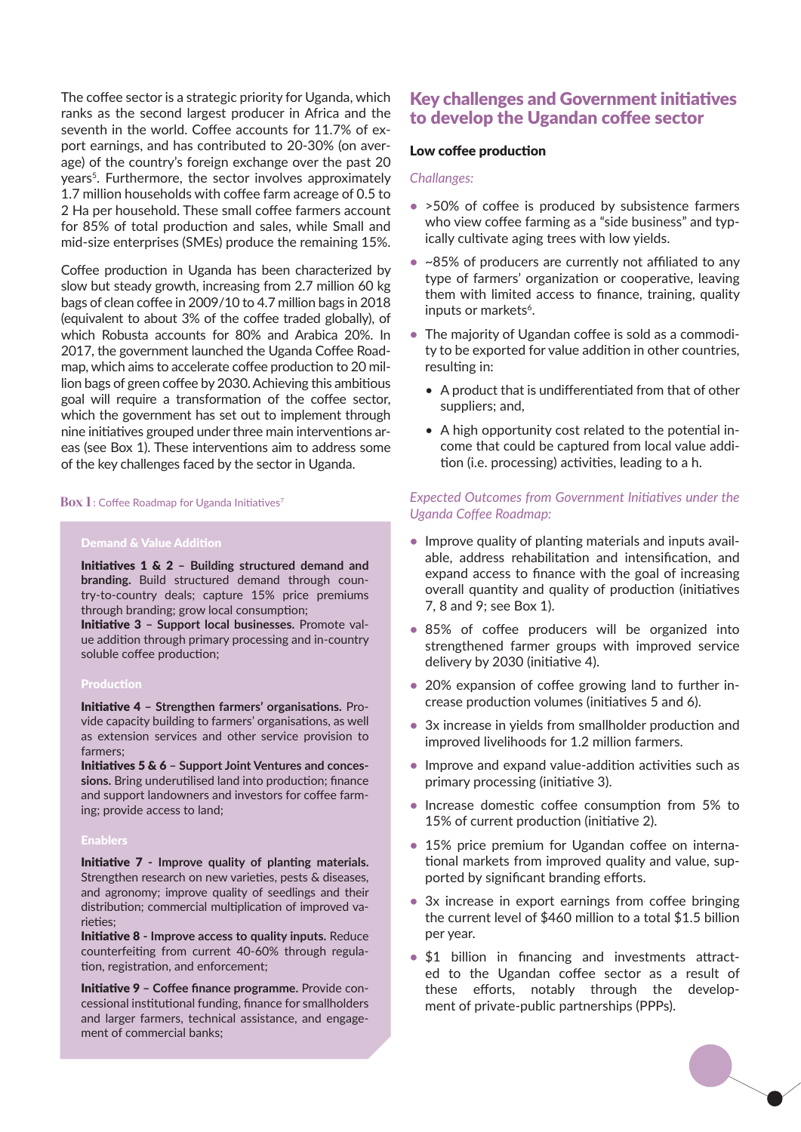The coffee sector is a strategic priority for Uganda, which ranks as the second largest producer in Africa and the seventh in the world. Coffee accounts for 11.7% of export earnings, and has contributed to 20-30% (on average) of the country's foreign exchange over the past 20 years<sup>5</sup>. Furthermore, the sector involves approximately 1.7 million households with coffee farm acreage of 0.5 to 2 Ha per household. These small coffee farmers account for 85% of total production and sales, while Small and mid-size enterprises (SMEs) produce the remaining 15%.

Coffee production in Uganda has been characterized by slow but steady growth, increasing from 2.7 million 60 kg bags of clean coffee in 2009/10 to 4.7 million bags in 2018 (equivalent to about 3% of the coffee traded globally), of which Robusta accounts for 80% and Arabica 20%. In 2017, the government launched the Uganda Coffee Roadmap, which aims to accelerate coffee production to 20 million bags of green coffee by 2030. Achieving this ambitious goal will require a transformation of the coffee sector, which the government has set out to implement through nine initiatives grouped under three main interventions areas (see Box 1). These interventions aim to address some of the key challenges faced by the sector in Uganda.

#### **Box 1** : Coffee Roadmap for Uganda Initiatives<sup>7</sup>

#### Demand & Value Addition

Initiatives 1 & 2 **– Building structured demand and branding.** Build structured demand through country-to-country deals; capture 15% price premiums through branding; grow local consumption;

Initiative 3 **– Support local businesses.** Promote value addition through primary processing and in-country soluble coffee production;

#### Production

Initiative 4 **– Strengthen farmers' organisations.** Provide capacity building to farmers' organisations, as well as extension services and other service provision to farmers;

Initiatives 5 & 6 **– Support Joint Ventures and concessions.** Bring underutilised land into production; finance and support landowners and investors for coffee farming; provide access to land;

#### Enablers

Initiative 7 **- Improve quality of planting materials.**  Strengthen research on new varieties, pests & diseases, and agronomy; improve quality of seedlings and their distribution; commercial multiplication of improved varieties;

Initiative 8 **- Improve access to quality inputs.** Reduce counterfeiting from current 40-60% through regulation, registration, and enforcement;

Initiative 9 **– Coffee finance programme.** Provide concessional institutional funding, finance for smallholders and larger farmers, technical assistance, and engagement of commercial banks;

### Key challenges and Government initiatives to develop the Ugandan coffee sector

#### Low coffee production

#### *Challanges:*

- **•** >50% of coffee is produced by subsistence farmers who view coffee farming as a "side business" and typically cultivate aging trees with low yields.
- **•** ~85% of producers are currently not affiliated to any type of farmers' organization or cooperative, leaving them with limited access to finance, training, quality inputs or markets<sup>6</sup>.
- **•** The majority of Ugandan coffee is sold as a commodity to be exported for value addition in other countries, resulting in:
	- *•* A product that is undifferentiated from that of other suppliers; and,
	- *•* A high opportunity cost related to the potential income that could be captured from local value addition (i.e. processing) activities, leading to a h.

#### *Expected Outcomes from Government Initiatives under the Uganda Coffee Roadmap:*

- **•** Improve quality of planting materials and inputs available, address rehabilitation and intensification, and expand access to finance with the goal of increasing overall quantity and quality of production (initiatives 7, 8 and 9; see Box 1).
- **•** 85% of coffee producers will be organized into strengthened farmer groups with improved service delivery by 2030 (initiative 4).
- **•** 20% expansion of coffee growing land to further increase production volumes (initiatives 5 and 6).
- **•** 3x increase in yields from smallholder production and improved livelihoods for 1.2 million farmers.
- **•** Improve and expand value-addition activities such as primary processing (initiative 3).
- **•** Increase domestic coffee consumption from 5% to 15% of current production (initiative 2).
- **•** 15% price premium for Ugandan coffee on international markets from improved quality and value, supported by significant branding efforts.
- **•** 3x increase in export earnings from coffee bringing the current level of \$460 million to a total \$1.5 billion per year.
- **•** \$1 billion in financing and investments attracted to the Ugandan coffee sector as a result of these efforts, notably through the development of private-public partnerships (PPPs).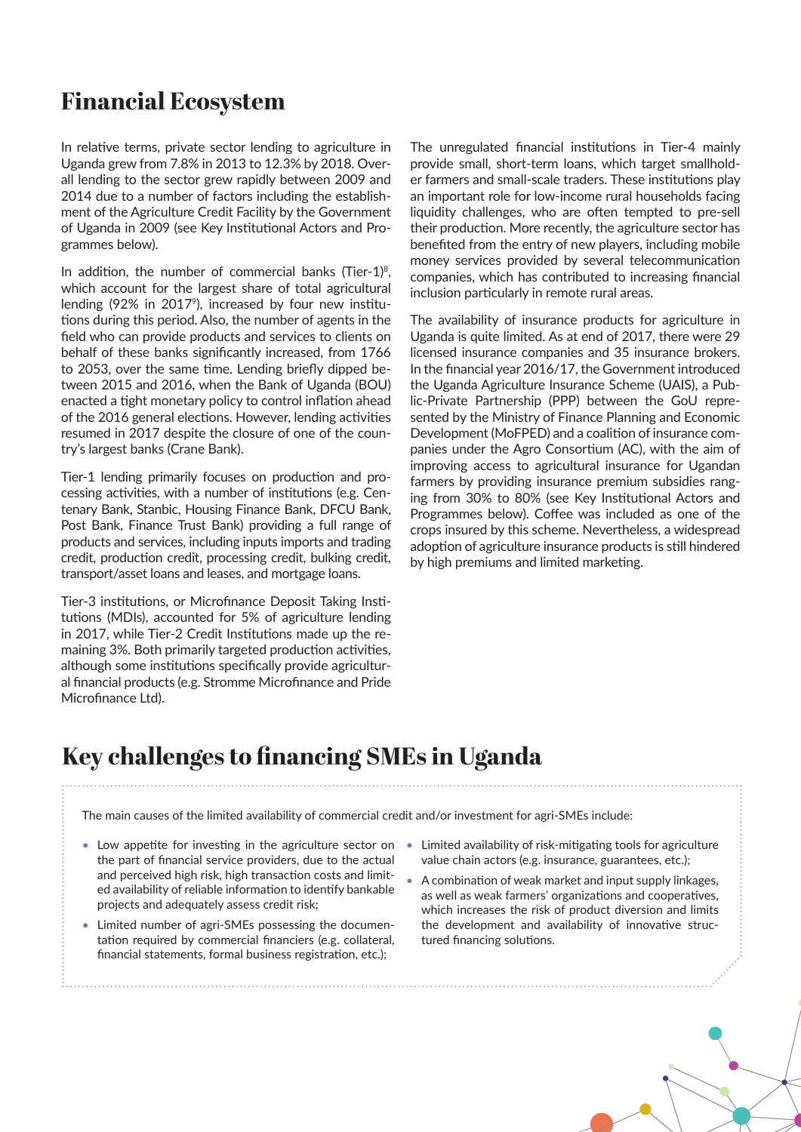# **Financial Ecosystem**

In relative terms, private sector lending to agriculture in Uganda grew from 7.8% in 2013 to 12.3% by 2018. Overall lending to the sector grew rapidly between 2009 and 2014 due to a number of factors including the establishment of the Agriculture Credit Facility by the Government of Uganda in 2009 (see Key Institutional Actors and Programmes below).

In addition, the number of commercial banks (Tier-1) $\delta$ , which account for the largest share of total agricultural lending (92% in 2017<sup>9</sup>), increased by four new institutions during this period. Also, the number of agents in the field who can provide products and services to clients on behalf of these banks significantly increased, from 1766 to 2053, over the same time. Lending briefly dipped between 2015 and 2016, when the Bank of Uganda (BOU) enacted a tight monetary policy to control inflation ahead of the 2016 general elections. However, lending activities resumed in 2017 despite the closure of one of the country's largest banks (Crane Bank).

Tier-1 lending primarily focuses on production and processing activities, with a number of institutions (e.g. Centenary Bank, Stanbic, Housing Finance Bank, DFCU Bank, Post Bank, Finance Trust Bank) providing a full range of products and services, including inputs imports and trading credit, production credit, processing credit, bulking credit, transport/asset loans and leases, and mortgage loans.

Tier-3 institutions, or Microfinance Deposit Taking Institutions (MDIs), accounted for 5% of agriculture lending in 2017, while Tier-2 Credit Institutions made up the remaining 3%. Both primarily targeted production activities, although some institutions specifically provide agricultural financial products (e.g. Stromme Microfinance and Pride Microfinance Ltd).

The unregulated financial institutions in Tier-4 mainly provide small, short-term loans, which target smallholder farmers and small-scale traders. These institutions play an important role for low-income rural households facing liquidity challenges, who are often tempted to pre-sell their production. More recently, the agriculture sector has benefited from the entry of new players, including mobile money services provided by several telecommunication companies, which has contributed to increasing financial inclusion particularly in remote rural areas.

The availability of insurance products for agriculture in Uganda is quite limited. As at end of 2017, there were 29 licensed insurance companies and 35 insurance brokers. In the financial year 2016/17, the Government introduced the Uganda Agriculture Insurance Scheme (UAIS), a Public-Private Partnership (PPP) between the GoU represented by the Ministry of Finance Planning and Economic Development (MoFPED) and a coalition of insurance companies under the Agro Consortium (AC), with the aim of improving access to agricultural insurance for Ugandan farmers by providing insurance premium subsidies ranging from 30% to 80% (see Key Institutional Actors and Programmes below). Coffee was included as one of the crops insured by this scheme. Nevertheless, a widespread adoption of agriculture insurance products is still hindered by high premiums and limited marketing.

# **Key challenges to financing SMEs in Uganda**

The main causes of the limited availability of commercial credit and/or investment for agri-SMEs include:

- Low appetite for investing in the agriculture sector on the part of financial service providers, due to the actual and perceived high risk, high transaction costs and limited availability of reliable information to identify bankable projects and adequately assess credit risk;
- Limited number of agri-SMEs possessing the documentation required by commercial financiers (e.g. collateral, financial statements, formal business registration, etc.);
- Limited availability of risk-mitigating tools for agriculture value chain actors (e.g. insurance, guarantees, etc.);
- A combination of weak market and input supply linkages, as well as weak farmers' organizations and cooperatives, which increases the risk of product diversion and limits the development and availability of innovative structured financing solutions.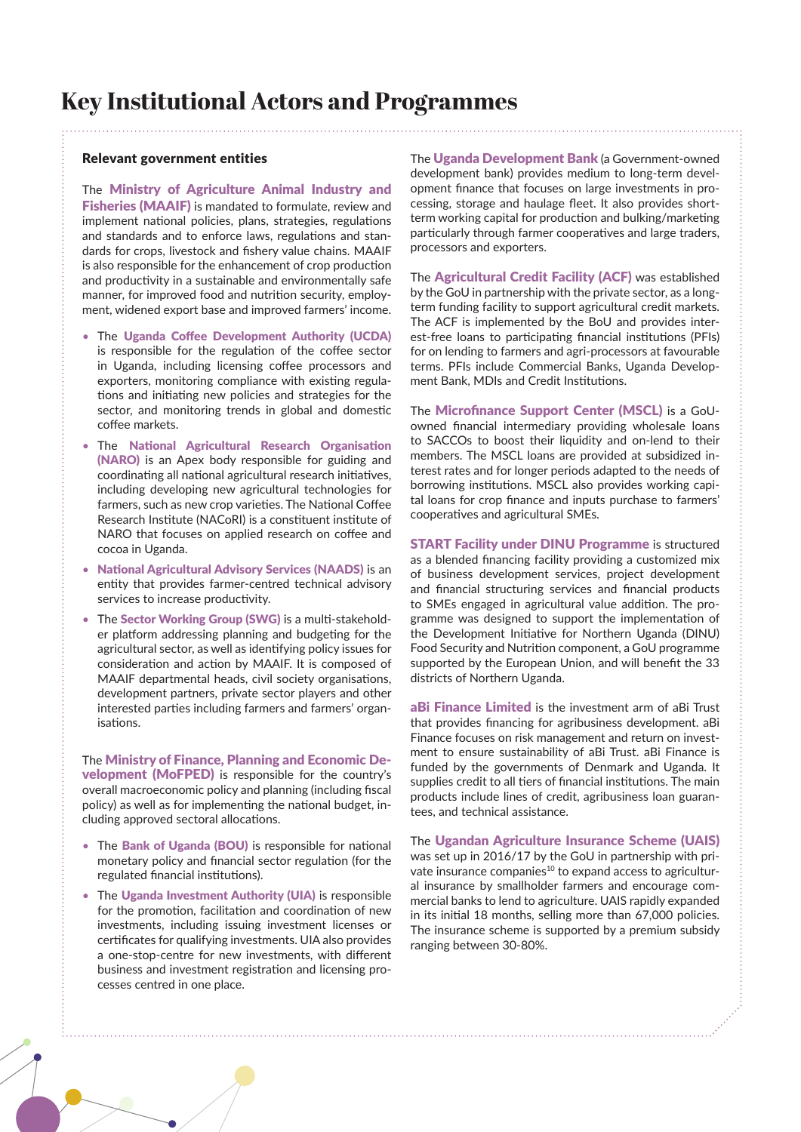# **Key Institutional Actors and Programmes**

#### Relevant government entities

The Ministry of Agriculture Animal Industry and Fisheries (MAAIF) is mandated to formulate, review and implement national policies, plans, strategies, regulations and standards and to enforce laws, regulations and standards for crops, livestock and fishery value chains. MAAIF is also responsible for the enhancement of crop production and productivity in a sustainable and environmentally safe manner, for improved food and nutrition security, employment, widened export base and improved farmers' income.

- The Uganda Coffee Development Authority (UCDA) is responsible for the regulation of the coffee sector in Uganda, including licensing coffee processors and exporters, monitoring compliance with existing regulations and initiating new policies and strategies for the sector, and monitoring trends in global and domestic coffee markets.
- The National Agricultural Research Organisation (NARO) is an Apex body responsible for guiding and coordinating all national agricultural research initiatives, including developing new agricultural technologies for farmers, such as new crop varieties. The National Coffee Research Institute (NACoRI) is a constituent institute of NARO that focuses on applied research on coffee and cocoa in Uganda.
- National Agricultural Advisory Services (NAADS) is an entity that provides farmer-centred technical advisory services to increase productivity.
- The Sector Working Group (SWG) is a multi-stakeholder platform addressing planning and budgeting for the agricultural sector, as well as identifying policy issues for consideration and action by MAAIF. It is composed of MAAIF departmental heads, civil society organisations, development partners, private sector players and other interested parties including farmers and farmers' organisations.

The Ministry of Finance, Planning and Economic Development (MoFPED) is responsible for the country's overall macroeconomic policy and planning (including fiscal policy) as well as for implementing the national budget, including approved sectoral allocations.

- The Bank of Uganda (BOU) is responsible for national monetary policy and financial sector regulation (for the regulated financial institutions).
- The Uganda Investment Authority (UIA) is responsible for the promotion, facilitation and coordination of new investments, including issuing investment licenses or certificates for qualifying investments. UIA also provides a one-stop-centre for new investments, with different business and investment registration and licensing processes centred in one place.

The Uganda Development Bank (a Government-owned development bank) provides medium to long-term development finance that focuses on large investments in processing, storage and haulage fleet. It also provides shortterm working capital for production and bulking/marketing particularly through farmer cooperatives and large traders, processors and exporters.

The Agricultural Credit Facility (ACF) was established by the GoU in partnership with the private sector, as a longterm funding facility to support agricultural credit markets. The ACF is implemented by the BoU and provides interest-free loans to participating financial institutions (PFIs) for on lending to farmers and agri-processors at favourable terms. PFIs include Commercial Banks, Uganda Development Bank, MDIs and Credit Institutions.

The Microfinance Support Center (MSCL) is a GoUowned financial intermediary providing wholesale loans to SACCOs to boost their liquidity and on-lend to their members. The MSCL loans are provided at subsidized interest rates and for longer periods adapted to the needs of borrowing institutions. MSCL also provides working capital loans for crop finance and inputs purchase to farmers' cooperatives and agricultural SMEs.

**START Facility under DINU Programme is structured** as a blended financing facility providing a customized mix of business development services, project development and financial structuring services and financial products to SMEs engaged in agricultural value addition. The programme was designed to support the implementation of the Development Initiative for Northern Uganda (DINU) Food Security and Nutrition component, a GoU programme supported by the European Union, and will benefit the 33 districts of Northern Uganda.

aBi Finance Limited is the investment arm of aBi Trust that provides financing for agribusiness development. aBi Finance focuses on risk management and return on investment to ensure sustainability of aBi Trust. aBi Finance is funded by the governments of Denmark and Uganda. It supplies credit to all tiers of financial institutions. The main products include lines of credit, agribusiness loan guarantees, and technical assistance.

The Ugandan Agriculture Insurance Scheme (UAIS) was set up in 2016/17 by the GoU in partnership with private insurance companies<sup>10</sup> to expand access to agricultural insurance by smallholder farmers and encourage commercial banks to lend to agriculture. UAIS rapidly expanded in its initial 18 months, selling more than 67,000 policies. The insurance scheme is supported by a premium subsidy ranging between 30-80%.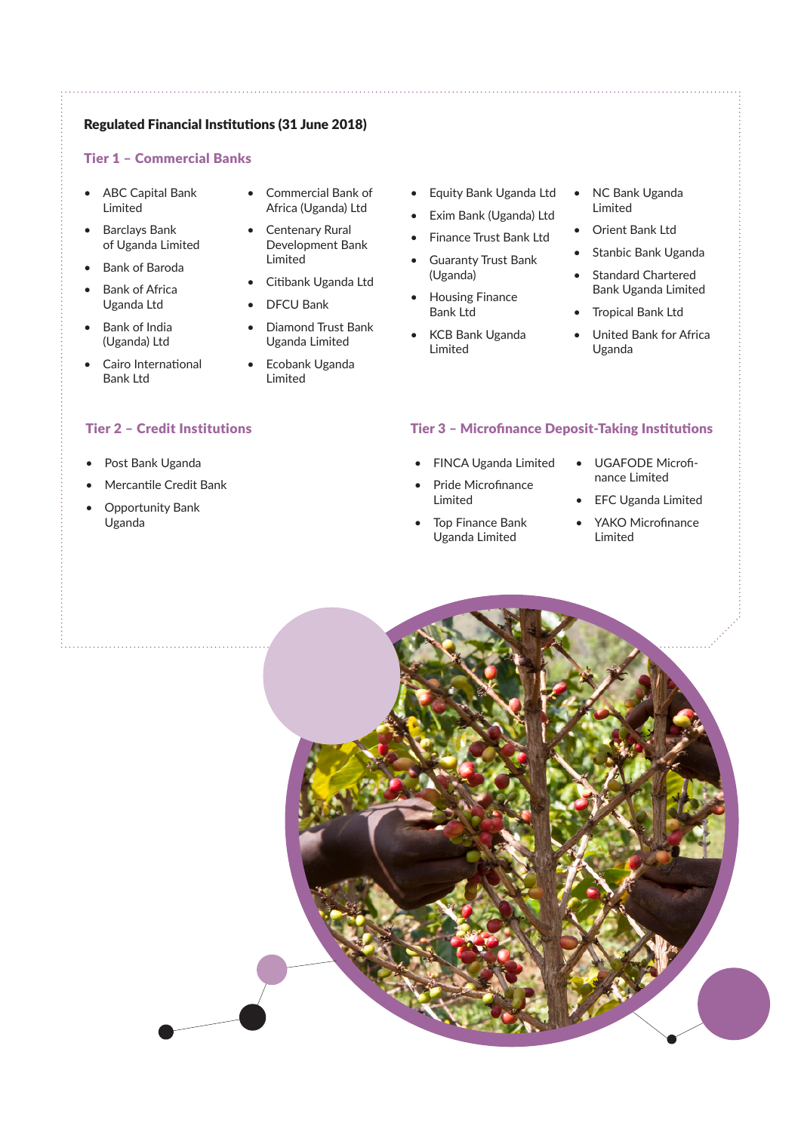### Regulated Financial Institutions (31 June 2018)

### Tier 1 – Commercial Banks

- ABC Capital Bank Limited
- Barclays Bank of Uganda Limited
- Bank of Baroda
- **Bank of Africa** Uganda Ltd
- Bank of India (Uganda) Ltd
- Cairo International Bank Ltd

- Post Bank Uganda
- Mercantile Credit Bank
- Opportunity Bank Uganda
- Commercial Bank of Africa (Uganda) Ltd
- Centenary Rural Development Bank Limited
- Citibank Uganda Ltd
- DFCU Bank

Limited

• Diamond Trust Bank Uganda Limited • Ecobank Uganda

- Equity Bank Uganda Ltd
- Exim Bank (Uganda) Ltd
- Finance Trust Bank Ltd
- Guaranty Trust Bank (Uganda)
- Housing Finance Bank Ltd
- KCB Bank Uganda Limited
- NC Bank Uganda Limited
- Orient Bank Ltd
- Stanbic Bank Uganda
- Standard Chartered Bank Uganda Limited
- Tropical Bank Ltd
- United Bank for Africa Uganda

### Tier 2 – Credit Institutions Tier 3 – Microfinance Deposit-Taking Institutions

- FINCA Uganda Limited
- Pride Microfinance Limited
- Top Finance Bank Uganda Limited
- UGAFODE Microfinance Limited
- EFC Uganda Limited
- YAKO Microfinance Limited

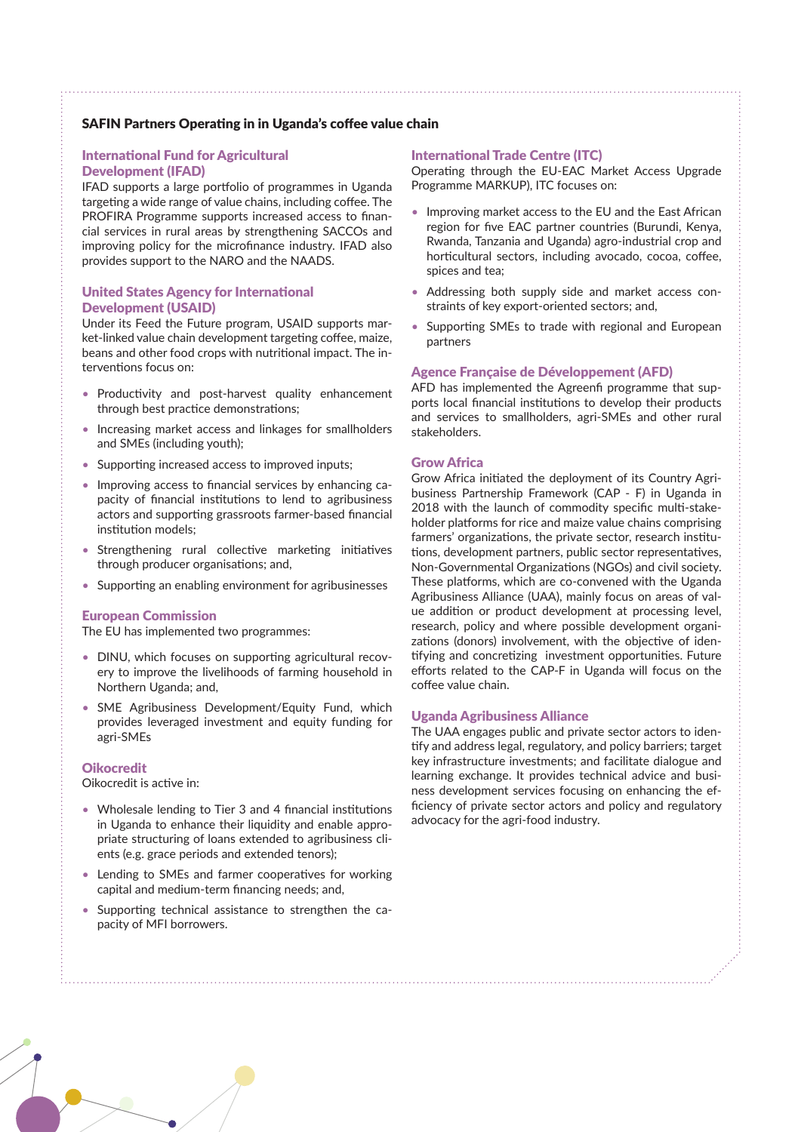### SAFIN Partners Operating in in Uganda's coffee value chain

#### International Fund for Agricultural Development (IFAD)

IFAD supports a large portfolio of programmes in Uganda targeting a wide range of value chains, including coffee. The PROFIRA Programme supports increased access to financial services in rural areas by strengthening SACCOs and improving policy for the microfinance industry. IFAD also provides support to the NARO and the NAADS.

#### United States Agency for International Development (USAID)

Under its Feed the Future program, USAID supports market-linked value chain development targeting coffee, maize, beans and other food crops with nutritional impact. The interventions focus on:

- Productivity and post-harvest quality enhancement through best practice demonstrations;
- Increasing market access and linkages for smallholders and SMEs (including youth);
- Supporting increased access to improved inputs;
- Improving access to financial services by enhancing capacity of financial institutions to lend to agribusiness actors and supporting grassroots farmer-based financial institution models;
- Strengthening rural collective marketing initiatives through producer organisations; and,
- Supporting an enabling environment for agribusinesses

#### European Commission

The EU has implemented two programmes:

- DINU, which focuses on supporting agricultural recovery to improve the livelihoods of farming household in Northern Uganda; and,
- SME Agribusiness Development/Equity Fund, which provides leveraged investment and equity funding for agri-SMEs

#### **Oikocredit**

Oikocredit is active in:

- Wholesale lending to Tier 3 and 4 financial institutions in Uganda to enhance their liquidity and enable appropriate structuring of loans extended to agribusiness clients (e.g. grace periods and extended tenors);
- Lending to SMEs and farmer cooperatives for working capital and medium-term financing needs; and,
- Supporting technical assistance to strengthen the capacity of MFI borrowers.

#### International Trade Centre (ITC)

Operating through the EU-EAC Market Access Upgrade Programme MARKUP), ITC focuses on:

- Improving market access to the EU and the East African region for five EAC partner countries (Burundi, Kenya, Rwanda, Tanzania and Uganda) agro-industrial crop and horticultural sectors, including avocado, cocoa, coffee, spices and tea;
- Addressing both supply side and market access constraints of key export-oriented sectors; and,
- Supporting SMEs to trade with regional and European partners

#### Agence Française de Développement (AFD)

AFD has implemented the Agreenfi programme that supports local financial institutions to develop their products and services to smallholders, agri-SMEs and other rural stakeholders.

#### Grow Africa

Grow Africa initiated the deployment of its Country Agribusiness Partnership Framework (CAP - F) in Uganda in 2018 with the launch of commodity specific multi-stakeholder platforms for rice and maize value chains comprising farmers' organizations, the private sector, research institutions, development partners, public sector representatives, Non-Governmental Organizations (NGOs) and civil society. These platforms, which are co-convened with the Uganda Agribusiness Alliance (UAA), mainly focus on areas of value addition or product development at processing level, research, policy and where possible development organizations (donors) involvement, with the objective of identifying and concretizing investment opportunities. Future efforts related to the CAP-F in Uganda will focus on the coffee value chain.

#### Uganda Agribusiness Alliance

The UAA engages public and private sector actors to identify and address legal, regulatory, and policy barriers; target key infrastructure investments; and facilitate dialogue and learning exchange. It provides technical advice and business development services focusing on enhancing the efficiency of private sector actors and policy and regulatory advocacy for the agri-food industry.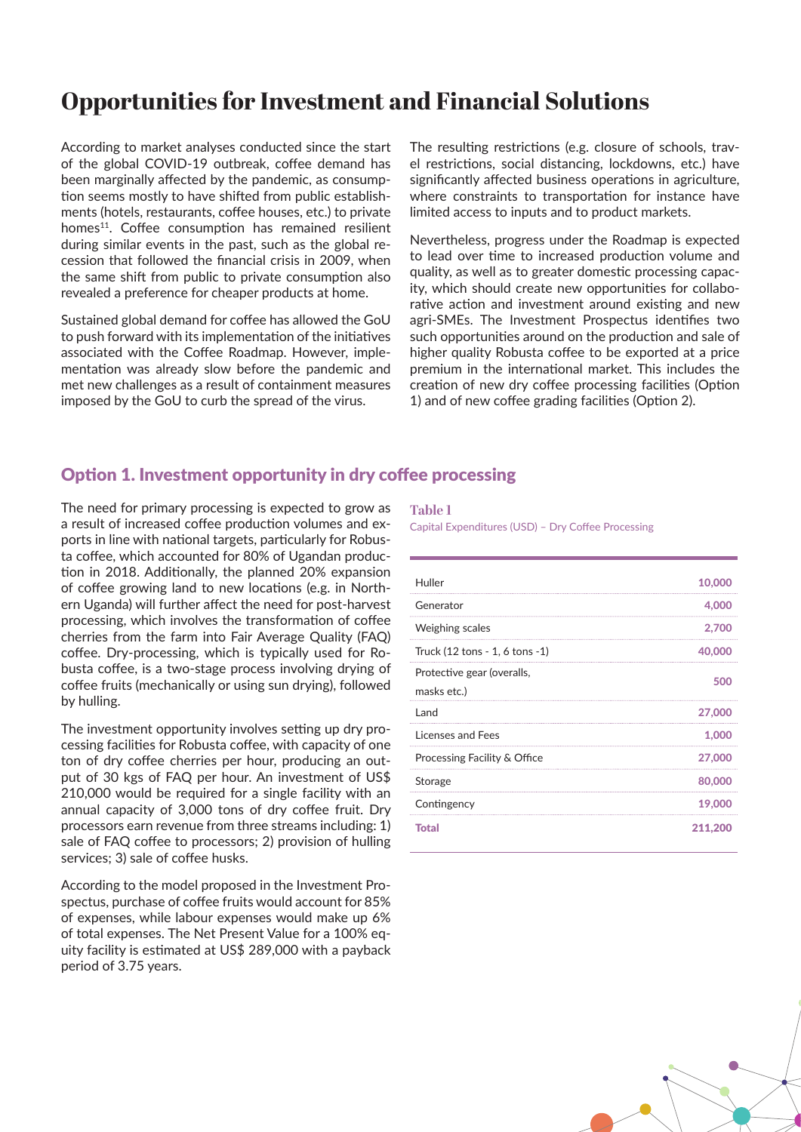# **Opportunities for Investment and Financial Solutions**

According to market analyses conducted since the start of the global COVID-19 outbreak, coffee demand has been marginally affected by the pandemic, as consumption seems mostly to have shifted from public establishments (hotels, restaurants, coffee houses, etc.) to private homes<sup>11</sup>. Coffee consumption has remained resilient during similar events in the past, such as the global recession that followed the financial crisis in 2009, when the same shift from public to private consumption also revealed a preference for cheaper products at home.

Sustained global demand for coffee has allowed the GoU to push forward with its implementation of the initiatives associated with the Coffee Roadmap. However, implementation was already slow before the pandemic and met new challenges as a result of containment measures imposed by the GoU to curb the spread of the virus.

The resulting restrictions (e.g. closure of schools, travel restrictions, social distancing, lockdowns, etc.) have significantly affected business operations in agriculture, where constraints to transportation for instance have limited access to inputs and to product markets.

Nevertheless, progress under the Roadmap is expected to lead over time to increased production volume and quality, as well as to greater domestic processing capacity, which should create new opportunities for collaborative action and investment around existing and new agri-SMEs. The Investment Prospectus identifies two such opportunities around on the production and sale of higher quality Robusta coffee to be exported at a price premium in the international market. This includes the creation of new dry coffee processing facilities (Option 1) and of new coffee grading facilities (Option 2).

### Option 1. Investment opportunity in dry coffee processing

The need for primary processing is expected to grow as a result of increased coffee production volumes and exports in line with national targets, particularly for Robusta coffee, which accounted for 80% of Ugandan production in 2018. Additionally, the planned 20% expansion of coffee growing land to new locations (e.g. in Northern Uganda) will further affect the need for post-harvest processing, which involves the transformation of coffee cherries from the farm into Fair Average Quality (FAQ) coffee. Dry-processing, which is typically used for Robusta coffee, is a two-stage process involving drying of coffee fruits (mechanically or using sun drying), followed by hulling.

The investment opportunity involves setting up dry processing facilities for Robusta coffee, with capacity of one ton of dry coffee cherries per hour, producing an output of 30 kgs of FAQ per hour. An investment of US\$ 210,000 would be required for a single facility with an annual capacity of 3,000 tons of dry coffee fruit. Dry processors earn revenue from three streams including: 1) sale of FAQ coffee to processors; 2) provision of hulling services; 3) sale of coffee husks.

According to the model proposed in the Investment Prospectus, purchase of coffee fruits would account for 85% of expenses, while labour expenses would make up 6% of total expenses. The Net Present Value for a 100% equity facility is estimated at US\$ 289,000 with a payback period of 3.75 years.

#### **Table 1**

Capital Expenditures (USD) – Dry Coffee Processing

| Huller                                    | 10,000  |
|-------------------------------------------|---------|
| Generator                                 | 4,000   |
| Weighing scales                           | 2.700   |
| Truck (12 tons - 1, 6 tons - 1)           | 40,000  |
| Protective gear (overalls,<br>masks etc.) | 500     |
| Land                                      | 27,000  |
| Licenses and Fees                         | 1.000   |
| Processing Facility & Office              | 27,000  |
| Storage                                   | 80,000  |
| Contingency                               | 19,000  |
| Total                                     | 211,200 |